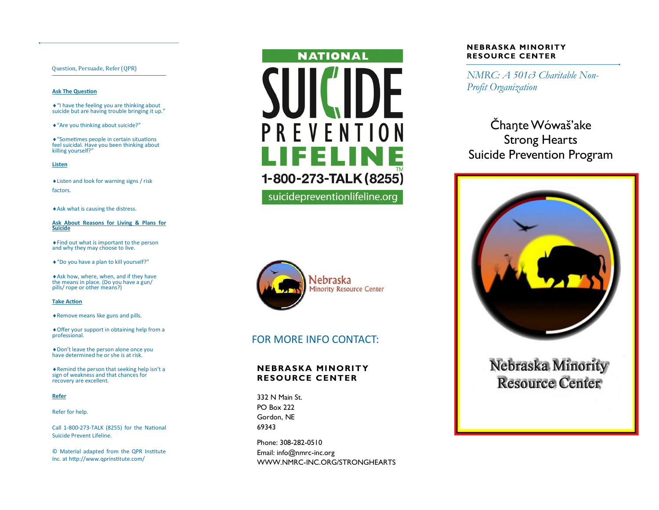Question, Persuade, Refer (QPR)

#### **Ask The Question**

"I have the feeling you are thinking about suicide but are having trouble bringing it up."

"Are you thinking about suicide?"

"Sometimes people in certain situations feel suicidal. Have you been thinking about killing yourself?"

**Listen**

Listen and look for warning signs / risk factors.

Ask what is causing the distress.

**Ask About Reasons for Living & Plans for Suicide**

Find out what is important to the person and why they may choose to live.

"Do you have a plan to kill yourself?"

Ask how, where, when, and if they have the means in place. (Do you have a gun/ pills/ rope or other means?)

**Take Action**

Remove means like guns and pills.

Offer your support in obtaining help from a professional.

Don't leave the person alone once you have determined he or she is at risk.

Remind the person that seeking help isn't a sign of weakness and that chances for recovery are excellent.

#### **Refer**

Refer for help.

Call 1-800-273-TALK (8255) for the National Suicide Prevent Lifeline.

© Material adapted from the QPR Institute Inc. at http://www.qprinstitute.com/



Nebraska **Minority Resource Center** 

### FOR MORE INFO CONTACT:

### **NEBRASKA MINORITY RESOURCE CENTER**

332 N Main St. PO Box 222 Gordon, NE 69343

Phone: 308-282-0510 Email: info@nmrc-inc.org WWW.NMRC-INC.ORG/STRONGHEARTS

### **NEBRASKA MINORITY RESOURCE CENTER**

*NMRC: A 501c3 Charitable Non-Profit Organization*

## Čhaŋte Wówaš'ake Strong Hearts Suicide Prevention Program



# Nebraska Minority **Resource Center**